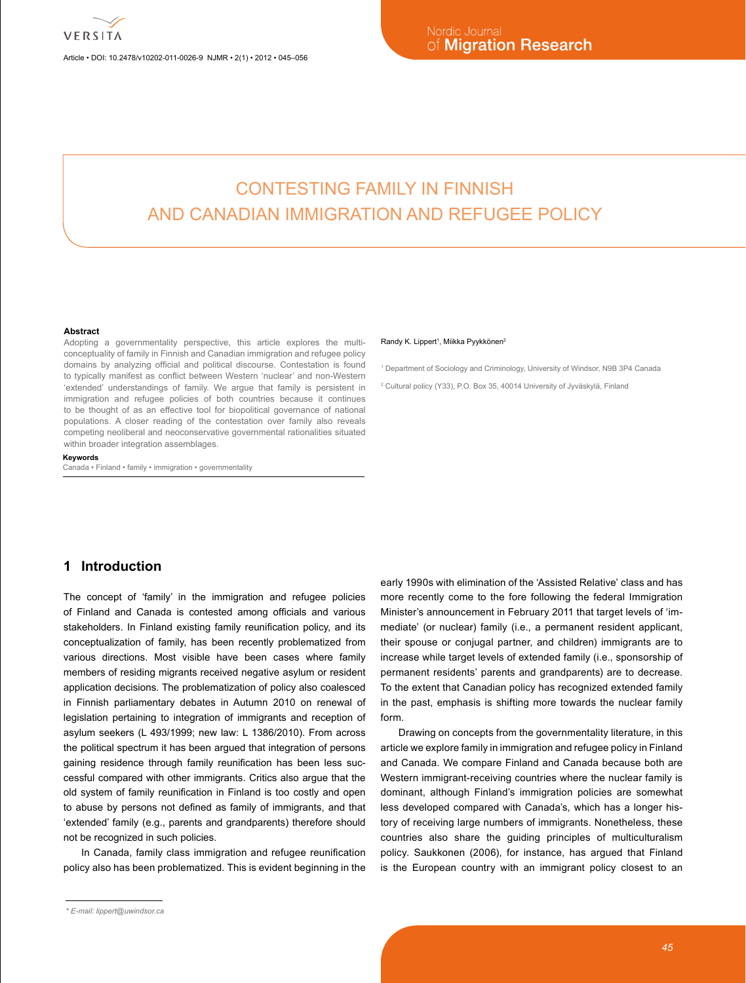

Article • DOI: 10.2478/v10202-011-0026-9 NJMR • 2(1) • 2012 • 045–056

# CONTESTING FAMILY IN FINNISH AND CANADIAN IMMIGRATION AND REFUGEE POLICY

#### **Abstract**

Adopting a governmentality perspective, this article explores the multiconceptuality of family in Finnish and Canadian immigration and refugee policy domains by analyzing official and political discourse. Contestation is found to typically manifest as conflict between Western 'nuclear' and non-Western 'extended' understandings of family. We argue that family is persistent in immigration and refugee policies of both countries because it continues to be thought of as an effective tool for biopolitical governance of national populations. A closer reading of the contestation over family also reveals competing neoliberal and neoconservative governmental rationalities situated within broader integration assemblages.

**Keywords** Canada • Finland • family • immigration • governmentality

#### Randy K. Lippert<sup>1</sup>, Miikka Pyykkönen<sup>2</sup>

1 Department of Sociology and Criminology, University of Windsor, N9B 3P4 Canada 2 Cultural policy (Y33), P.O. Box 35, 40014 University of Jyväskylä, Finland

### **1 Introduction**

The concept of 'family' in the immigration and refugee policies of Finland and Canada is contested among officials and various stakeholders. In Finland existing family reunification policy, and its conceptualization of family, has been recently problematized from various directions. Most visible have been cases where family members of residing migrants received negative asylum or resident application decisions. The problematization of policy also coalesced in Finnish parliamentary debates in Autumn 2010 on renewal of legislation pertaining to integration of immigrants and reception of asylum seekers (L 493/1999; new law: L 1386/2010). From across the political spectrum it has been argued that integration of persons gaining residence through family reunification has been less successful compared with other immigrants. Critics also argue that the old system of family reunification in Finland is too costly and open to abuse by persons not defined as family of immigrants, and that 'extended' family (e.g., parents and grandparents) therefore should not be recognized in such policies.

In Canada, family class immigration and refugee reunification policy also has been problematized. This is evident beginning in the

*\* E-mail: lippert@uwindsor.ca*

early 1990s with elimination of the 'Assisted Relative' class and has more recently come to the fore following the federal Immigration Minister's announcement in February 2011 that target levels of 'immediate' (or nuclear) family (i.e., a permanent resident applicant, their spouse or conjugal partner, and children) immigrants are to increase while target levels of extended family (i.e., sponsorship of permanent residents' parents and grandparents) are to decrease. To the extent that Canadian policy has recognized extended family in the past, emphasis is shifting more towards the nuclear family form.

Drawing on concepts from the governmentality literature, in this article we explore family in immigration and refugee policy in Finland and Canada. We compare Finland and Canada because both are Western immigrant-receiving countries where the nuclear family is dominant, although Finland's immigration policies are somewhat less developed compared with Canada's, which has a longer history of receiving large numbers of immigrants. Nonetheless, these countries also share the guiding principles of multiculturalism policy. Saukkonen (2006), for instance, has argued that Finland is the European country with an immigrant policy closest to an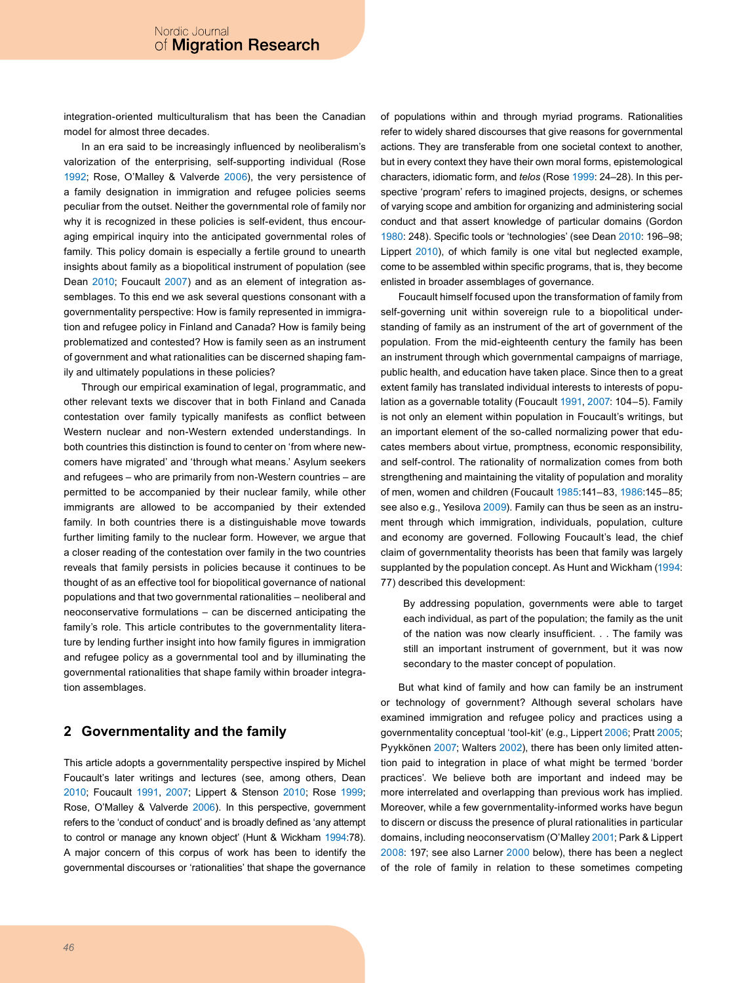integration-oriented multiculturalism that has been the Canadian model for almost three decades.

In an era said to be increasingly influenced by neoliberalism's valorization of the enterprising, self-supporting individual (Rose [1992;](#page-10-0) Rose, O'Malley & Valverde 2006), the very persistence of a family designation in immigration and refugee policies seems peculiar from the outset. Neither the governmental role of family nor why it is recognized in these policies is self-evident, thus encouraging empirical inquiry into the anticipated governmental roles of family. This policy domain is especially a fertile ground to unearth insights about family as a biopolitical instrument of population (see Dean [2010](#page-9-0); Foucault [2007\)](#page-10-1) and as an element of integration assemblages. To this end we ask several questions consonant with a governmentality perspective: How is family represented in immigration and refugee policy in Finland and Canada? How is family being problematized and contested? How is family seen as an instrument of government and what rationalities can be discerned shaping family and ultimately populations in these policies?

Through our empirical examination of legal, programmatic, and other relevant texts we discover that in both Finland and Canada contestation over family typically manifests as conflict between Western nuclear and non-Western extended understandings. In both countries this distinction is found to center on 'from where newcomers have migrated' and 'through what means.' Asylum seekers and refugees – who are primarily from non-Western countries – are permitted to be accompanied by their nuclear family, while other immigrants are allowed to be accompanied by their extended family. In both countries there is a distinguishable move towards further limiting family to the nuclear form. However, we argue that a closer reading of the contestation over family in the two countries reveals that family persists in policies because it continues to be thought of as an effective tool for biopolitical governance of national populations and that two governmental rationalities – neoliberal and neoconservative formulations – can be discerned anticipating the family's role. This article contributes to the governmentality literature by lending further insight into how family figures in immigration and refugee policy as a governmental tool and by illuminating the governmental rationalities that shape family within broader integration assemblages.

### **2 Governmentality and the family**

This article adopts a governmentality perspective inspired by Michel Foucault's later writings and lectures (see, among others, Dean [2010;](#page-9-0) Foucault [1991](#page-10-2), [2007](#page-10-1); Lippert & Stenson [2010;](#page-10-3) Rose [1999;](#page-10-4) Rose, O'Malley & Valverde 2006). In this perspective, government refers to the 'conduct of conduct' and is broadly defined as 'any attempt to control or manage any known object' (Hunt & Wickham [1994:](#page-10-5)78). A major concern of this corpus of work has been to identify the governmental discourses or 'rationalities' that shape the governance of populations within and through myriad programs. Rationalities refer to widely shared discourses that give reasons for governmental actions. They are transferable from one societal context to another, but in every context they have their own moral forms, epistemological characters, idiomatic form, and *telos* (Rose [1999:](#page-10-4) 24–28). In this perspective 'program' refers to imagined projects, designs, or schemes of varying scope and ambition for organizing and administering social conduct and that assert knowledge of particular domains (Gordon [1980:](#page-10-6) 248). Specific tools or 'technologies' (see Dean [2010:](#page-9-0) 196–98; Lippert [2010\)](#page-10-3), of which family is one vital but neglected example, come to be assembled within specific programs, that is, they become enlisted in broader assemblages of governance.

Foucault himself focused upon the transformation of family from self-governing unit within sovereign rule to a biopolitical understanding of family as an instrument of the art of government of the population. From the mid-eighteenth century the family has been an instrument through which governmental campaigns of marriage, public health, and education have taken place. Since then to a great extent family has translated individual interests to interests of population as a governable totality (Foucault [1991](#page-10-2), [2007:](#page-10-1) 104–5). Family is not only an element within population in Foucault's writings, but an important element of the so-called normalizing power that educates members about virtue, promptness, economic responsibility, and self-control. The rationality of normalization comes from both strengthening and maintaining the vitality of population and morality of men, women and children (Foucault [1985:](#page-10-7)141–83, [1986](#page-10-8):145–85; see also e.g., Yesilova 2009). Family can thus be seen as an instrument through which immigration, individuals, population, culture and economy are governed. Following Foucault's lead, the chief claim of governmentality theorists has been that family was largely supplanted by the population concept. As Hunt and Wickham [\(1994:](#page-10-5) 77) described this development:

By addressing population, governments were able to target each individual, as part of the population; the family as the unit of the nation was now clearly insufficient. . . The family was still an important instrument of government, but it was now secondary to the master concept of population.

But what kind of family and how can family be an instrument or technology of government? Although several scholars have examined immigration and refugee policy and practices using a governmentality conceptual 'tool-kit' (e.g., Lippert [2006](#page-10-9); Pratt [2005;](#page-10-10) Pyykkönen 2007; Walters 2002), there has been only limited attention paid to integration in place of what might be termed 'border practices'. We believe both are important and indeed may be more interrelated and overlapping than previous work has implied. Moreover, while a few governmentality-informed works have begun to discern or discuss the presence of plural rationalities in particular domains, including neoconservatism (O'Malley 2001; Park & Lippert [2008](#page-10-11): 197; see also Larner [2000](#page-10-12) below), there has been a neglect of the role of family in relation to these sometimes competing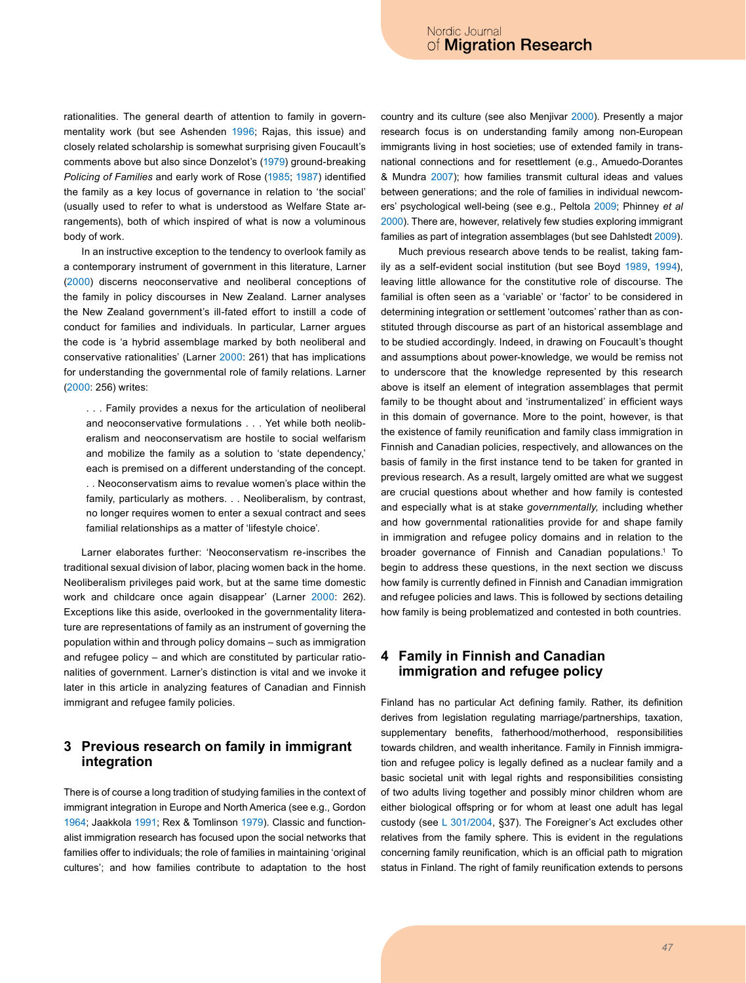rationalities. The general dearth of attention to family in governmentality work (but see Ashenden [1996](#page-9-1); Rajas, this issue) and closely related scholarship is somewhat surprising given Foucault's comments above but also since Donzelot's [\(1979](#page-9-2)) ground-breaking *Policing of Families* and early work of Rose [\(1985](#page-10-13); [1987](#page-10-14)) identified the family as a key locus of governance in relation to 'the social' (usually used to refer to what is understood as Welfare State arrangements), both of which inspired of what is now a voluminous body of work.

In an instructive exception to the tendency to overlook family as a contemporary instrument of government in this literature, Larner ([2000\)](#page-10-12) discerns neoconservative and neoliberal conceptions of the family in policy discourses in New Zealand. Larner analyses the New Zealand government's ill-fated effort to instill a code of conduct for families and individuals. In particular, Larner argues the code is 'a hybrid assemblage marked by both neoliberal and conservative rationalities' (Larner [2000:](#page-10-12) 261) that has implications for understanding the governmental role of family relations. Larner ([2000:](#page-10-12) 256) writes:

. . . Family provides a nexus for the articulation of neoliberal and neoconservative formulations . . . Yet while both neoliberalism and neoconservatism are hostile to social welfarism and mobilize the family as a solution to 'state dependency,' each is premised on a different understanding of the concept. . . Neoconservatism aims to revalue women's place within the family, particularly as mothers. . . Neoliberalism, by contrast, no longer requires women to enter a sexual contract and sees familial relationships as a matter of 'lifestyle choice'.

Larner elaborates further: 'Neoconservatism re-inscribes the traditional sexual division of labor, placing women back in the home. Neoliberalism privileges paid work, but at the same time domestic work and childcare once again disappear' (Larner [2000](#page-10-12): 262). Exceptions like this aside, overlooked in the governmentality literature are representations of family as an instrument of governing the population within and through policy domains – such as immigration and refugee policy – and which are constituted by particular rationalities of government. Larner's distinction is vital and we invoke it later in this article in analyzing features of Canadian and Finnish immigrant and refugee family policies.

# **3 Previous research on family in immigrant integration**

There is of course a long tradition of studying families in the context of immigrant integration in Europe and North America (see e.g., Gordon [1964;](#page-10-15) Jaakkola [1991](#page-10-16); Rex & Tomlinson [1979](#page-10-17)). Classic and functionalist immigration research has focused upon the social networks that families offer to individuals; the role of families in maintaining 'original cultures'; and how families contribute to adaptation to the host

country and its culture (see also Menjivar [2000](#page-10-18)). Presently a major research focus is on understanding family among non-European immigrants living in host societies; use of extended family in transnational connections and for resettlement (e.g., Amuedo-Dorantes & Mundra [2007](#page-9-3)); how families transmit cultural ideas and values between generations; and the role of families in individual newcomers' psychological well-being (see e.g., Peltola [2009](#page-10-19); Phinney *et al* [2000\)](#page-10-20). There are, however, relatively few studies exploring immigrant families as part of integration assemblages (but see Dahlstedt [2009](#page-9-4)).

Much previous research above tends to be realist, taking family as a self-evident social institution (but see Boyd [1989](#page-9-5), [1994](#page-9-6)), leaving little allowance for the constitutive role of discourse. The familial is often seen as a 'variable' or 'factor' to be considered in determining integration or settlement 'outcomes' rather than as constituted through discourse as part of an historical assemblage and to be studied accordingly. Indeed, in drawing on Foucault's thought and assumptions about power-knowledge, we would be remiss not to underscore that the knowledge represented by this research above is itself an element of integration assemblages that permit family to be thought about and 'instrumentalized' in efficient ways in this domain of governance. More to the point, however, is that the existence of family reunification and family class immigration in Finnish and Canadian policies, respectively, and allowances on the basis of family in the first instance tend to be taken for granted in previous research. As a result, largely omitted are what we suggest are crucial questions about whether and how family is contested and especially what is at stake *governmentally,* including whether and how governmental rationalities provide for and shape family in immigration and refugee policy domains and in relation to the broader governance of Finnish and Canadian populations[.1](#page-9-7) To begin to address these questions, in the next section we discuss how family is currently defined in Finnish and Canadian immigration and refugee policies and laws. This is followed by sections detailing how family is being problematized and contested in both countries.

# **4 Family in Finnish and Canadian immigration and refugee policy**

Finland has no particular Act defining family. Rather, its definition derives from legislation regulating marriage/partnerships, taxation, supplementary benefits, fatherhood/motherhood, responsibilities towards children, and wealth inheritance. Family in Finnish immigration and refugee policy is legally defined as a nuclear family and a basic societal unit with legal rights and responsibilities consisting of two adults living together and possibly minor children whom are either biological offspring or for whom at least one adult has legal custody (see [L 301/2004](#page-10-21), §37). The Foreigner's Act excludes other relatives from the family sphere. This is evident in the regulations concerning family reunification, which is an official path to migration status in Finland. The right of family reunification extends to persons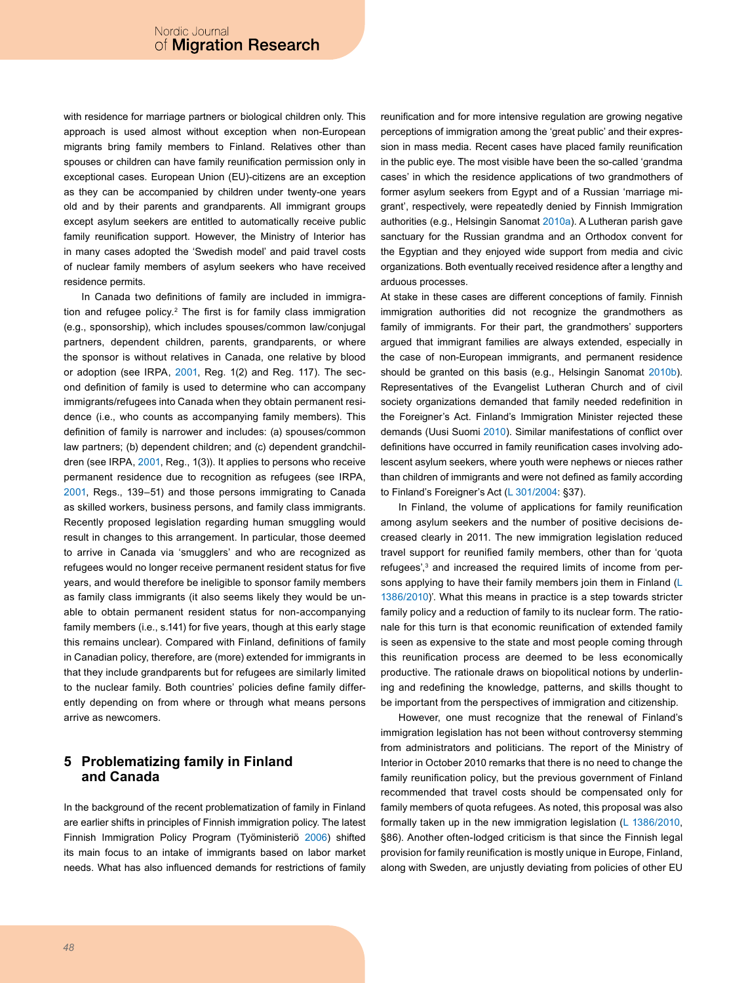with residence for marriage partners or biological children only. This approach is used almost without exception when non-European migrants bring family members to Finland. Relatives other than spouses or children can have family reunification permission only in exceptional cases. European Union (EU)-citizens are an exception as they can be accompanied by children under twenty-one years old and by their parents and grandparents. All immigrant groups except asylum seekers are entitled to automatically receive public family reunification support. However, the Ministry of Interior has in many cases adopted the 'Swedish model' and paid travel costs of nuclear family members of asylum seekers who have received residence permits.

In Canada two definitions of family are included in immigration and refugee policy.<sup>2</sup> The first is for family class immigration (e.g., sponsorship), which includes spouses/common law/conjugal partners, dependent children, parents, grandparents, or where the sponsor is without relatives in Canada, one relative by blood or adoption (see IRPA, [2001,](#page-11-0) Reg. 1(2) and Reg. 117). The second definition of family is used to determine who can accompany immigrants/refugees into Canada when they obtain permanent residence (i.e., who counts as accompanying family members). This definition of family is narrower and includes: (a) spouses/common law partners; (b) dependent children; and (c) dependent grandchildren (see IRPA, [2001](#page-11-0), Reg., 1(3)). It applies to persons who receive permanent residence due to recognition as refugees (see IRPA, [2001,](#page-11-0) Regs., 139–51) and those persons immigrating to Canada as skilled workers, business persons, and family class immigrants. Recently proposed legislation regarding human smuggling would result in changes to this arrangement. In particular, those deemed to arrive in Canada via 'smugglers' and who are recognized as refugees would no longer receive permanent resident status for five years, and would therefore be ineligible to sponsor family members as family class immigrants (it also seems likely they would be unable to obtain permanent resident status for non-accompanying family members (i.e., s.141) for five years, though at this early stage this remains unclear). Compared with Finland, definitions of family in Canadian policy, therefore, are (more) extended for immigrants in that they include grandparents but for refugees are similarly limited to the nuclear family. Both countries' policies define family differently depending on from where or through what means persons arrive as newcomers.

# **5 Problematizing family in Finland and Canada**

In the background of the recent problematization of family in Finland are earlier shifts in principles of Finnish immigration policy. The latest Finnish Immigration Policy Program (Työministeriö 2006) shifted its main focus to an intake of immigrants based on labor market needs. What has also influenced demands for restrictions of family reunification and for more intensive regulation are growing negative perceptions of immigration among the 'great public' and their expression in mass media. Recent cases have placed family reunification in the public eye. The most visible have been the so-called 'grandma cases' in which the residence applications of two grandmothers of former asylum seekers from Egypt and of a Russian 'marriage migrant', respectively, were repeatedly denied by Finnish Immigration authorities (e.g., Helsingin Sanomat [2010a\)](#page-10-22). A Lutheran parish gave sanctuary for the Russian grandma and an Orthodox convent for the Egyptian and they enjoyed wide support from media and civic organizations. Both eventually received residence after a lengthy and arduous processes.

At stake in these cases are different conceptions of family. Finnish immigration authorities did not recognize the grandmothers as family of immigrants. For their part, the grandmothers' supporters argued that immigrant families are always extended, especially in the case of non-European immigrants, and permanent residence should be granted on this basis (e.g., Helsingin Sanomat [2010b](#page-10-23)). Representatives of the Evangelist Lutheran Church and of civil society organizations demanded that family needed redefinition in the Foreigner's Act. Finland's Immigration Minister rejected these demands (Uusi Suomi 2010). Similar manifestations of conflict over definitions have occurred in family reunification cases involving adolescent asylum seekers, where youth were nephews or nieces rather than children of immigrants and were not defined as family according to Finland's Foreigner's Act [\(L 301/2004](#page-10-21): §37).

In Finland, the volume of applications for family reunification among asylum seekers and the number of positive decisions decreased clearly in 2011. The new immigration legislation reduced travel support for reunified family members, other than for 'quota refugees',<sup>3</sup> and increased the required limits of income from persons applying to have their family members join them in Finland ([L](#page-10-24) [1386/2010](#page-10-24))'. What this means in practice is a step towards stricter family policy and a reduction of family to its nuclear form. The rationale for this turn is that economic reunification of extended family is seen as expensive to the state and most people coming through this reunification process are deemed to be less economically productive. The rationale draws on biopolitical notions by underlining and redefining the knowledge, patterns, and skills thought to be important from the perspectives of immigration and citizenship.

However, one must recognize that the renewal of Finland's immigration legislation has not been without controversy stemming from administrators and politicians. The report of the Ministry of Interior in October 2010 remarks that there is no need to change the family reunification policy, but the previous government of Finland recommended that travel costs should be compensated only for family members of quota refugees. As noted, this proposal was also formally taken up in the new immigration legislation ([L 1386/2010](#page-10-24), §86). Another often-lodged criticism is that since the Finnish legal provision for family reunification is mostly unique in Europe, Finland, along with Sweden, are unjustly deviating from policies of other EU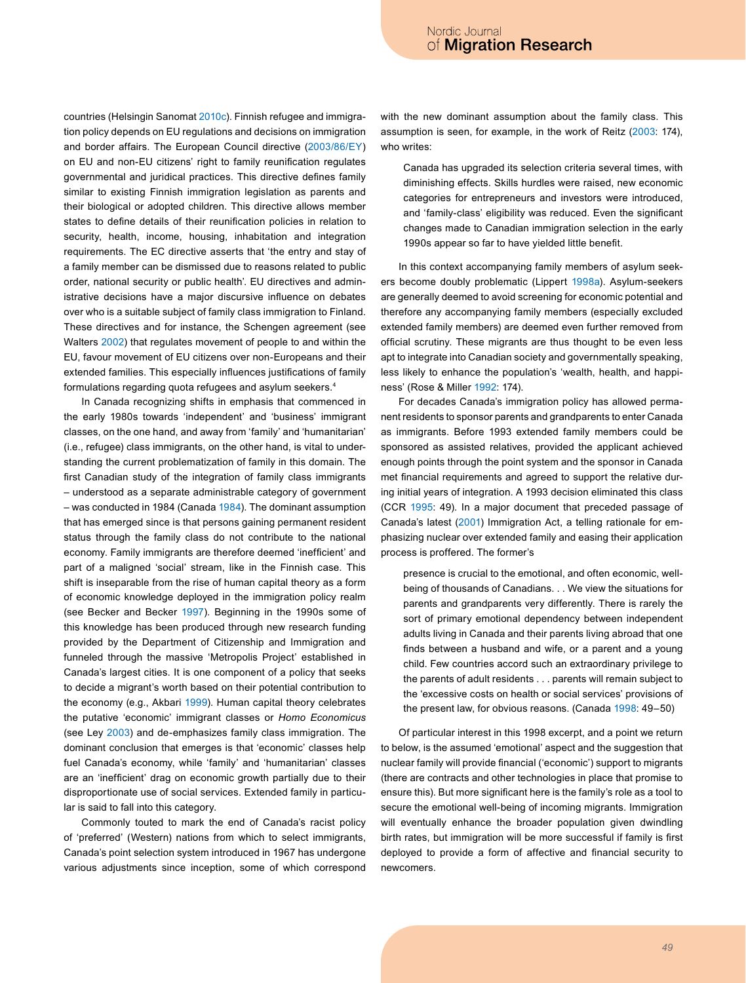countries (Helsingin Sanomat [2010c](#page-10-25)). Finnish refugee and immigration policy depends on EU regulations and decisions on immigration and border affairs. The European Council directive [\(2003/86/EY](#page-9-10)) on EU and non-EU citizens' right to family reunification regulates governmental and juridical practices. This directive defines family similar to existing Finnish immigration legislation as parents and their biological or adopted children. This directive allows member states to define details of their reunification policies in relation to security, health, income, housing, inhabitation and integration requirements. The EC directive asserts that 'the entry and stay of a family member can be dismissed due to reasons related to public order, national security or public health'. EU directives and administrative decisions have a major discursive influence on debates over who is a suitable subject of family class immigration to Finland. These directives and for instance, the Schengen agreement (see Walters 2002) that regulates movement of people to and within the EU, favour movement of EU citizens over non-Europeans and their extended families. This especially influences justifications of family formulations regarding quota refugees and asylum seekers.[4](#page-9-11)

In Canada recognizing shifts in emphasis that commenced in the early 1980s towards 'independent' and 'business' immigrant classes, on the one hand, and away from 'family' and 'humanitarian' (i.e., refugee) class immigrants, on the other hand, is vital to understanding the current problematization of family in this domain. The first Canadian study of the integration of family class immigrants – understood as a separate administrable category of government – was conducted in 1984 (Canada [1984](#page-9-12)). The dominant assumption that has emerged since is that persons gaining permanent resident status through the family class do not contribute to the national economy. Family immigrants are therefore deemed 'inefficient' and part of a maligned 'social' stream, like in the Finnish case. This shift is inseparable from the rise of human capital theory as a form of economic knowledge deployed in the immigration policy realm (see Becker and Becker [1997\)](#page-9-13). Beginning in the 1990s some of this knowledge has been produced through new research funding provided by the Department of Citizenship and Immigration and funneled through the massive 'Metropolis Project' established in Canada's largest cities. It is one component of a policy that seeks to decide a migrant's worth based on their potential contribution to the economy (e.g., Akbari [1999](#page-9-14)). Human capital theory celebrates the putative 'economic' immigrant classes or *Homo Economicus*  (see Ley [2003\)](#page-10-26) and de-emphasizes family class immigration. The dominant conclusion that emerges is that 'economic' classes help fuel Canada's economy, while 'family' and 'humanitarian' classes are an 'inefficient' drag on economic growth partially due to their disproportionate use of social services. Extended family in particular is said to fall into this category.

Commonly touted to mark the end of Canada's racist policy of 'preferred' (Western) nations from which to select immigrants, Canada's point selection system introduced in 1967 has undergone various adjustments since inception, some of which correspond

with the new dominant assumption about the family class. This assumption is seen, for example, in the work of Reitz [\(2003](#page-10-27): 174), who writes:

Canada has upgraded its selection criteria several times, with diminishing effects. Skills hurdles were raised, new economic categories for entrepreneurs and investors were introduced, and 'family-class' eligibility was reduced. Even the significant changes made to Canadian immigration selection in the early 1990s appear so far to have yielded little benefit.

In this context accompanying family members of asylum seekers become doubly problematic (Lippert [1998a\)](#page-10-28). Asylum-seekers are generally deemed to avoid screening for economic potential and therefore any accompanying family members (especially excluded extended family members) are deemed even further removed from official scrutiny. These migrants are thus thought to be even less apt to integrate into Canadian society and governmentally speaking, less likely to enhance the population's 'wealth, health, and happiness' (Rose & Miller 1992: 174).

For decades Canada's immigration policy has allowed permanent residents to sponsor parents and grandparents to enter Canada as immigrants. Before 1993 extended family members could be sponsored as assisted relatives, provided the applicant achieved enough points through the point system and the sponsor in Canada met financial requirements and agreed to support the relative during initial years of integration. A 1993 decision eliminated this class (CCR [1995:](#page-9-15) 49). In a major document that preceded passage of Canada's latest [\(2001\)](#page-11-0) Immigration Act, a telling rationale for emphasizing nuclear over extended family and easing their application process is proffered. The former's

presence is crucial to the emotional, and often economic, wellbeing of thousands of Canadians. . . We view the situations for parents and grandparents very differently. There is rarely the sort of primary emotional dependency between independent adults living in Canada and their parents living abroad that one finds between a husband and wife, or a parent and a young child. Few countries accord such an extraordinary privilege to the parents of adult residents . . . parents will remain subject to the 'excessive costs on health or social services' provisions of the present law, for obvious reasons. (Canada [1998](#page-9-16): 49–50)

Of particular interest in this 1998 excerpt, and a point we return to below, is the assumed 'emotional' aspect and the suggestion that nuclear family will provide financial ('economic') support to migrants (there are contracts and other technologies in place that promise to ensure this). But more significant here is the family's role as a tool to secure the emotional well-being of incoming migrants. Immigration will eventually enhance the broader population given dwindling birth rates, but immigration will be more successful if family is first deployed to provide a form of affective and financial security to newcomers.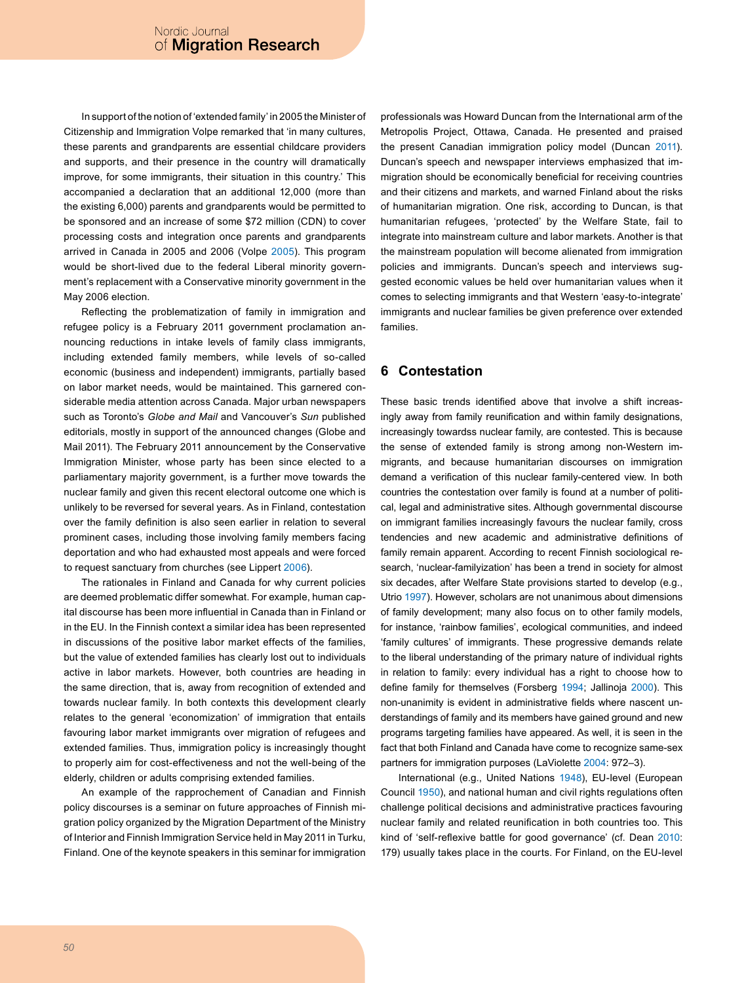In support of the notion of 'extended family' in 2005 the Minister of Citizenship and Immigration Volpe remarked that 'in many cultures, these parents and grandparents are essential childcare providers and supports, and their presence in the country will dramatically improve, for some immigrants, their situation in this country.' This accompanied a declaration that an additional 12,000 (more than the existing 6,000) parents and grandparents would be permitted to be sponsored and an increase of some \$72 million (CDN) to cover processing costs and integration once parents and grandparents arrived in Canada in 2005 and 2006 (Volpe 2005). This program would be short-lived due to the federal Liberal minority government's replacement with a Conservative minority government in the May 2006 election.

Reflecting the problematization of family in immigration and refugee policy is a February 2011 government proclamation announcing reductions in intake levels of family class immigrants, including extended family members, while levels of so-called economic (business and independent) immigrants, partially based on labor market needs, would be maintained. This garnered considerable media attention across Canada. Major urban newspapers such as Toronto's *Globe and Mail* and Vancouver's *Sun* published editorials, mostly in support of the announced changes (Globe and Mail 2011). The February 2011 announcement by the Conservative Immigration Minister, whose party has been since elected to a parliamentary majority government, is a further move towards the nuclear family and given this recent electoral outcome one which is unlikely to be reversed for several years. As in Finland, contestation over the family definition is also seen earlier in relation to several prominent cases, including those involving family members facing deportation and who had exhausted most appeals and were forced to request sanctuary from churches (see Lippert [2006\)](#page-10-9).

The rationales in Finland and Canada for why current policies are deemed problematic differ somewhat. For example, human capital discourse has been more influential in Canada than in Finland or in the EU. In the Finnish context a similar idea has been represented in discussions of the positive labor market effects of the families, but the value of extended families has clearly lost out to individuals active in labor markets. However, both countries are heading in the same direction, that is, away from recognition of extended and towards nuclear family. In both contexts this development clearly relates to the general 'economization' of immigration that entails favouring labor market immigrants over migration of refugees and extended families. Thus, immigration policy is increasingly thought to properly aim for cost-effectiveness and not the well-being of the elderly, children or adults comprising extended families.

An example of the rapprochement of Canadian and Finnish policy discourses is a seminar on future approaches of Finnish migration policy organized by the Migration Department of the Ministry of Interior and Finnish Immigration Service held in May 2011 in Turku, Finland. One of the keynote speakers in this seminar for immigration professionals was Howard Duncan from the International arm of the Metropolis Project, Ottawa, Canada. He presented and praised the present Canadian immigration policy model (Duncan [2011](#page-9-17)). Duncan's speech and newspaper interviews emphasized that immigration should be economically beneficial for receiving countries and their citizens and markets, and warned Finland about the risks of humanitarian migration. One risk, according to Duncan, is that humanitarian refugees, 'protected' by the Welfare State, fail to integrate into mainstream culture and labor markets. Another is that the mainstream population will become alienated from immigration policies and immigrants. Duncan's speech and interviews suggested economic values be held over humanitarian values when it comes to selecting immigrants and that Western 'easy-to-integrate' immigrants and nuclear families be given preference over extended families.

# **6 Contestation**

These basic trends identified above that involve a shift increasingly away from family reunification and within family designations, increasingly towardss nuclear family, are contested. This is because the sense of extended family is strong among non-Western immigrants, and because humanitarian discourses on immigration demand a verification of this nuclear family-centered view. In both countries the contestation over family is found at a number of political, legal and administrative sites. Although governmental discourse on immigrant families increasingly favours the nuclear family, cross tendencies and new academic and administrative definitions of family remain apparent. According to recent Finnish sociological research, 'nuclear-familyization' has been a trend in society for almost six decades, after Welfare State provisions started to develop (e.g., Utrio 1997). However, scholars are not unanimous about dimensions of family development; many also focus on to other family models, for instance, 'rainbow families', ecological communities, and indeed 'family cultures' of immigrants. These progressive demands relate to the liberal understanding of the primary nature of individual rights in relation to family: every individual has a right to choose how to define family for themselves (Forsberg [1994](#page-10-29); Jallinoja [2000\)](#page-10-30). This non-unanimity is evident in administrative fields where nascent understandings of family and its members have gained ground and new programs targeting families have appeared. As well, it is seen in the fact that both Finland and Canada have come to recognize same-sex partners for immigration purposes (LaViolette [2004](#page-10-31): 972–3).

International (e.g., United Nations 1948), EU-level (European Council [1950](#page-9-18)), and national human and civil rights regulations often challenge political decisions and administrative practices favouring nuclear family and related reunification in both countries too. This kind of 'self-reflexive battle for good governance' (cf. Dean [2010:](#page-9-0) 179) usually takes place in the courts. For Finland, on the EU-level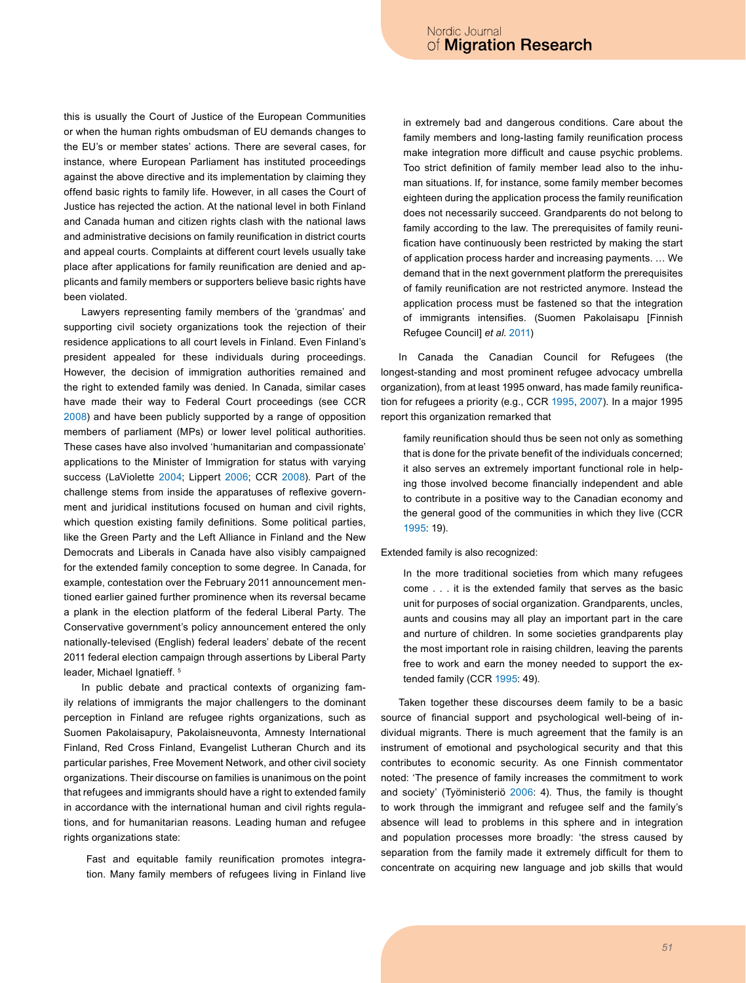this is usually the Court of Justice of the European Communities or when the human rights ombudsman of EU demands changes to the EU's or member states' actions. There are several cases, for instance, where European Parliament has instituted proceedings against the above directive and its implementation by claiming they offend basic rights to family life. However, in all cases the Court of Justice has rejected the action. At the national level in both Finland and Canada human and citizen rights clash with the national laws and administrative decisions on family reunification in district courts and appeal courts. Complaints at different court levels usually take place after applications for family reunification are denied and applicants and family members or supporters believe basic rights have been violated.

Lawyers representing family members of the 'grandmas' and supporting civil society organizations took the rejection of their residence applications to all court levels in Finland. Even Finland's president appealed for these individuals during proceedings. However, the decision of immigration authorities remained and the right to extended family was denied. In Canada, similar cases have made their way to Federal Court proceedings (see CCR [2008](#page-9-19)) and have been publicly supported by a range of opposition members of parliament (MPs) or lower level political authorities. These cases have also involved 'humanitarian and compassionate' applications to the Minister of Immigration for status with varying success (LaViolette [2004](#page-10-31); Lippert [2006](#page-10-9); CCR [2008](#page-9-19)). Part of the challenge stems from inside the apparatuses of reflexive government and juridical institutions focused on human and civil rights, which question existing family definitions. Some political parties, like the Green Party and the Left Alliance in Finland and the New Democrats and Liberals in Canada have also visibly campaigned for the extended family conception to some degree. In Canada, for example, contestation over the February 2011 announcement mentioned earlier gained further prominence when its reversal became a plank in the election platform of the federal Liberal Party. The Conservative government's policy announcement entered the only nationally-televised (English) federal leaders' debate of the recent 2011 federal election campaign through assertions by Liberal Party leader, Michael Ignatieff.<sup>[5](#page-9-20)</sup>

In public debate and practical contexts of organizing family relations of immigrants the major challengers to the dominant perception in Finland are refugee rights organizations, such as Suomen Pakolaisapury, Pakolaisneuvonta, Amnesty International Finland, Red Cross Finland, Evangelist Lutheran Church and its particular parishes, Free Movement Network, and other civil society organizations. Their discourse on families is unanimous on the point that refugees and immigrants should have a right to extended family in accordance with the international human and civil rights regulations, and for humanitarian reasons. Leading human and refugee rights organizations state:

Fast and equitable family reunification promotes integration. Many family members of refugees living in Finland live in extremely bad and dangerous conditions. Care about the family members and long-lasting family reunification process make integration more difficult and cause psychic problems. Too strict definition of family member lead also to the inhuman situations. If, for instance, some family member becomes eighteen during the application process the family reunification does not necessarily succeed. Grandparents do not belong to family according to the law. The prerequisites of family reunification have continuously been restricted by making the start of application process harder and increasing payments. … We demand that in the next government platform the prerequisites of family reunification are not restricted anymore. Instead the application process must be fastened so that the integration of immigrants intensifies. (Suomen Pakolaisapu [Finnish Refugee Council] *et al*. [2011](#page-11-1))

In Canada the Canadian Council for Refugees (the longest-standing and most prominent refugee advocacy umbrella organization), from at least 1995 onward, has made family reunification for refugees a priority (e.g., CCR [1995](#page-9-15), [2007](#page-9-21)). In a major 1995 report this organization remarked that

family reunification should thus be seen not only as something that is done for the private benefit of the individuals concerned; it also serves an extremely important functional role in helping those involved become financially independent and able to contribute in a positive way to the Canadian economy and the general good of the communities in which they live (CCR [1995](#page-9-15): 19).

Extended family is also recognized:

In the more traditional societies from which many refugees come . . . it is the extended family that serves as the basic unit for purposes of social organization. Grandparents, uncles, aunts and cousins may all play an important part in the care and nurture of children. In some societies grandparents play the most important role in raising children, leaving the parents free to work and earn the money needed to support the extended family (CCR [1995](#page-9-15): 49).

Taken together these discourses deem family to be a basic source of financial support and psychological well-being of individual migrants. There is much agreement that the family is an instrument of emotional and psychological security and that this contributes to economic security. As one Finnish commentator noted: 'The presence of family increases the commitment to work and society' (Työministeriö 2006: 4). Thus, the family is thought to work through the immigrant and refugee self and the family's absence will lead to problems in this sphere and in integration and population processes more broadly: 'the stress caused by separation from the family made it extremely difficult for them to concentrate on acquiring new language and job skills that would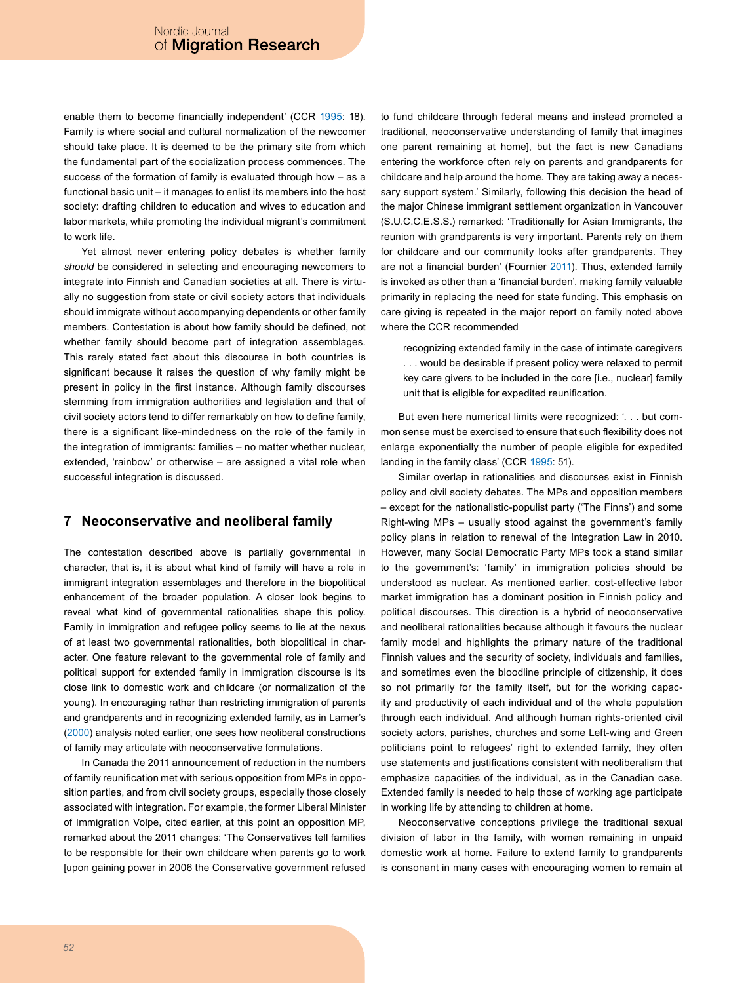enable them to become financially independent' (CCR [1995](#page-9-15): 18). Family is where social and cultural normalization of the newcomer should take place. It is deemed to be the primary site from which the fundamental part of the socialization process commences. The success of the formation of family is evaluated through how – as a functional basic unit – it manages to enlist its members into the host society: drafting children to education and wives to education and labor markets, while promoting the individual migrant's commitment to work life.

Yet almost never entering policy debates is whether family *should* be considered in selecting and encouraging newcomers to integrate into Finnish and Canadian societies at all. There is virtually no suggestion from state or civil society actors that individuals should immigrate without accompanying dependents or other family members. Contestation is about how family should be defined, not whether family should become part of integration assemblages. This rarely stated fact about this discourse in both countries is significant because it raises the question of why family might be present in policy in the first instance. Although family discourses stemming from immigration authorities and legislation and that of civil society actors tend to differ remarkably on how to define family, there is a significant like-mindedness on the role of the family in the integration of immigrants: families – no matter whether nuclear, extended, 'rainbow' or otherwise – are assigned a vital role when successful integration is discussed.

# **7 Neoconservative and neoliberal family**

The contestation described above is partially governmental in character, that is, it is about what kind of family will have a role in immigrant integration assemblages and therefore in the biopolitical enhancement of the broader population. A closer look begins to reveal what kind of governmental rationalities shape this policy. Family in immigration and refugee policy seems to lie at the nexus of at least two governmental rationalities, both biopolitical in character. One feature relevant to the governmental role of family and political support for extended family in immigration discourse is its close link to domestic work and childcare (or normalization of the young). In encouraging rather than restricting immigration of parents and grandparents and in recognizing extended family, as in Larner's ([2000](#page-10-12)) analysis noted earlier, one sees how neoliberal constructions of family may articulate with neoconservative formulations.

In Canada the 2011 announcement of reduction in the numbers of family reunification met with serious opposition from MPs in opposition parties, and from civil society groups, especially those closely associated with integration. For example, the former Liberal Minister of Immigration Volpe, cited earlier, at this point an opposition MP, remarked about the 2011 changes: 'The Conservatives tell families to be responsible for their own childcare when parents go to work [upon gaining power in 2006 the Conservative government refused to fund childcare through federal means and instead promoted a traditional, neoconservative understanding of family that imagines one parent remaining at home], but the fact is new Canadians entering the workforce often rely on parents and grandparents for childcare and help around the home. They are taking away a necessary support system.' Similarly, following this decision the head of the major Chinese immigrant settlement organization in Vancouver (S.U.C.C.E.S.S.) remarked: 'Traditionally for Asian Immigrants, the reunion with grandparents is very important. Parents rely on them for childcare and our community looks after grandparents. They are not a financial burden' (Fournier [2011](#page-10-1)). Thus, extended family is invoked as other than a 'financial burden', making family valuable primarily in replacing the need for state funding. This emphasis on care giving is repeated in the major report on family noted above where the CCR recommended

recognizing extended family in the case of intimate caregivers . . . would be desirable if present policy were relaxed to permit key care givers to be included in the core [i.e., nuclear] family unit that is eligible for expedited reunification.

But even here numerical limits were recognized: '. . . but common sense must be exercised to ensure that such flexibility does not enlarge exponentially the number of people eligible for expedited landing in the family class' (CCR [1995](#page-9-15): 51).

Similar overlap in rationalities and discourses exist in Finnish policy and civil society debates. The MPs and opposition members – except for the nationalistic-populist party ('The Finns') and some Right-wing MPs – usually stood against the government's family policy plans in relation to renewal of the Integration Law in 2010. However, many Social Democratic Party MPs took a stand similar to the government's: 'family' in immigration policies should be understood as nuclear. As mentioned earlier, cost-effective labor market immigration has a dominant position in Finnish policy and political discourses. This direction is a hybrid of neoconservative and neoliberal rationalities because although it favours the nuclear family model and highlights the primary nature of the traditional Finnish values and the security of society, individuals and families, and sometimes even the bloodline principle of citizenship, it does so not primarily for the family itself, but for the working capacity and productivity of each individual and of the whole population through each individual. And although human rights-oriented civil society actors, parishes, churches and some Left-wing and Green politicians point to refugees' right to extended family, they often use statements and justifications consistent with neoliberalism that emphasize capacities of the individual, as in the Canadian case. Extended family is needed to help those of working age participate in working life by attending to children at home.

Neoconservative conceptions privilege the traditional sexual division of labor in the family, with women remaining in unpaid domestic work at home. Failure to extend family to grandparents is consonant in many cases with encouraging women to remain at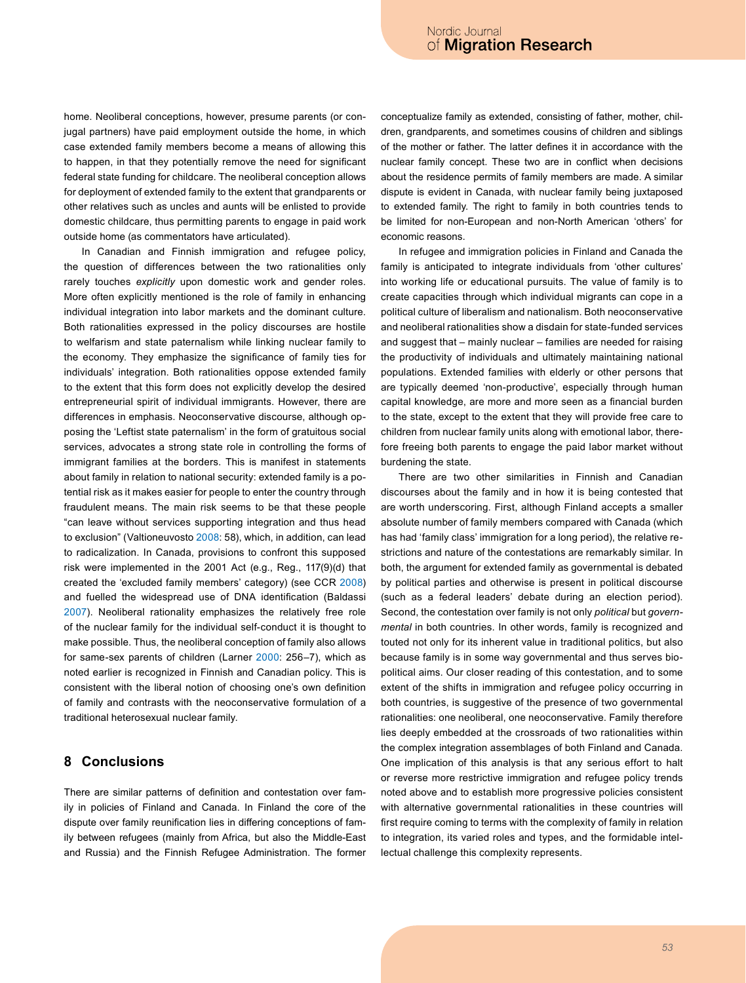home. Neoliberal conceptions, however, presume parents (or conjugal partners) have paid employment outside the home, in which case extended family members become a means of allowing this to happen, in that they potentially remove the need for significant federal state funding for childcare. The neoliberal conception allows for deployment of extended family to the extent that grandparents or other relatives such as uncles and aunts will be enlisted to provide domestic childcare, thus permitting parents to engage in paid work outside home (as commentators have articulated).

In Canadian and Finnish immigration and refugee policy, the question of differences between the two rationalities only rarely touches *explicitly* upon domestic work and gender roles. More often explicitly mentioned is the role of family in enhancing individual integration into labor markets and the dominant culture. Both rationalities expressed in the policy discourses are hostile to welfarism and state paternalism while linking nuclear family to the economy. They emphasize the significance of family ties for individuals' integration. Both rationalities oppose extended family to the extent that this form does not explicitly develop the desired entrepreneurial spirit of individual immigrants. However, there are differences in emphasis. Neoconservative discourse, although opposing the 'Leftist state paternalism' in the form of gratuitous social services, advocates a strong state role in controlling the forms of immigrant families at the borders. This is manifest in statements about family in relation to national security: extended family is a potential risk as it makes easier for people to enter the country through fraudulent means. The main risk seems to be that these people "can leave without services supporting integration and thus head to exclusion" (Valtioneuvosto 2008: 58), which, in addition, can lead to radicalization. In Canada, provisions to confront this supposed risk were implemented in the 2001 Act (e.g., Reg., 117(9)(d) that created the 'excluded family members' category) (see CCR [2008\)](#page-9-19) and fuelled the widespread use of DNA identification (Baldassi [2007](#page-9-22)). Neoliberal rationality emphasizes the relatively free role of the nuclear family for the individual self-conduct it is thought to make possible. Thus, the neoliberal conception of family also allows for same-sex parents of children (Larner [2000:](#page-10-12) 256–7), which as noted earlier is recognized in Finnish and Canadian policy. This is consistent with the liberal notion of choosing one's own definition of family and contrasts with the neoconservative formulation of a traditional heterosexual nuclear family.

### **8 Conclusions**

There are similar patterns of definition and contestation over family in policies of Finland and Canada. In Finland the core of the dispute over family reunification lies in differing conceptions of family between refugees (mainly from Africa, but also the Middle-East and Russia) and the Finnish Refugee Administration. The former conceptualize family as extended, consisting of father, mother, children, grandparents, and sometimes cousins of children and siblings of the mother or father. The latter defines it in accordance with the nuclear family concept. These two are in conflict when decisions about the residence permits of family members are made. A similar dispute is evident in Canada, with nuclear family being juxtaposed to extended family. The right to family in both countries tends to be limited for non-European and non-North American 'others' for economic reasons.

In refugee and immigration policies in Finland and Canada the family is anticipated to integrate individuals from 'other cultures' into working life or educational pursuits. The value of family is to create capacities through which individual migrants can cope in a political culture of liberalism and nationalism. Both neoconservative and neoliberal rationalities show a disdain for state-funded services and suggest that – mainly nuclear – families are needed for raising the productivity of individuals and ultimately maintaining national populations. Extended families with elderly or other persons that are typically deemed 'non-productive', especially through human capital knowledge, are more and more seen as a financial burden to the state, except to the extent that they will provide free care to children from nuclear family units along with emotional labor, therefore freeing both parents to engage the paid labor market without burdening the state.

There are two other similarities in Finnish and Canadian discourses about the family and in how it is being contested that are worth underscoring. First, although Finland accepts a smaller absolute number of family members compared with Canada (which has had 'family class' immigration for a long period), the relative restrictions and nature of the contestations are remarkably similar. In both, the argument for extended family as governmental is debated by political parties and otherwise is present in political discourse (such as a federal leaders' debate during an election period). Second, the contestation over family is not only *political* but *governmental* in both countries. In other words, family is recognized and touted not only for its inherent value in traditional politics, but also because family is in some way governmental and thus serves biopolitical aims. Our closer reading of this contestation, and to some extent of the shifts in immigration and refugee policy occurring in both countries, is suggestive of the presence of two governmental rationalities: one neoliberal, one neoconservative. Family therefore lies deeply embedded at the crossroads of two rationalities within the complex integration assemblages of both Finland and Canada. One implication of this analysis is that any serious effort to halt or reverse more restrictive immigration and refugee policy trends noted above and to establish more progressive policies consistent with alternative governmental rationalities in these countries will first require coming to terms with the complexity of family in relation to integration, its varied roles and types, and the formidable intellectual challenge this complexity represents.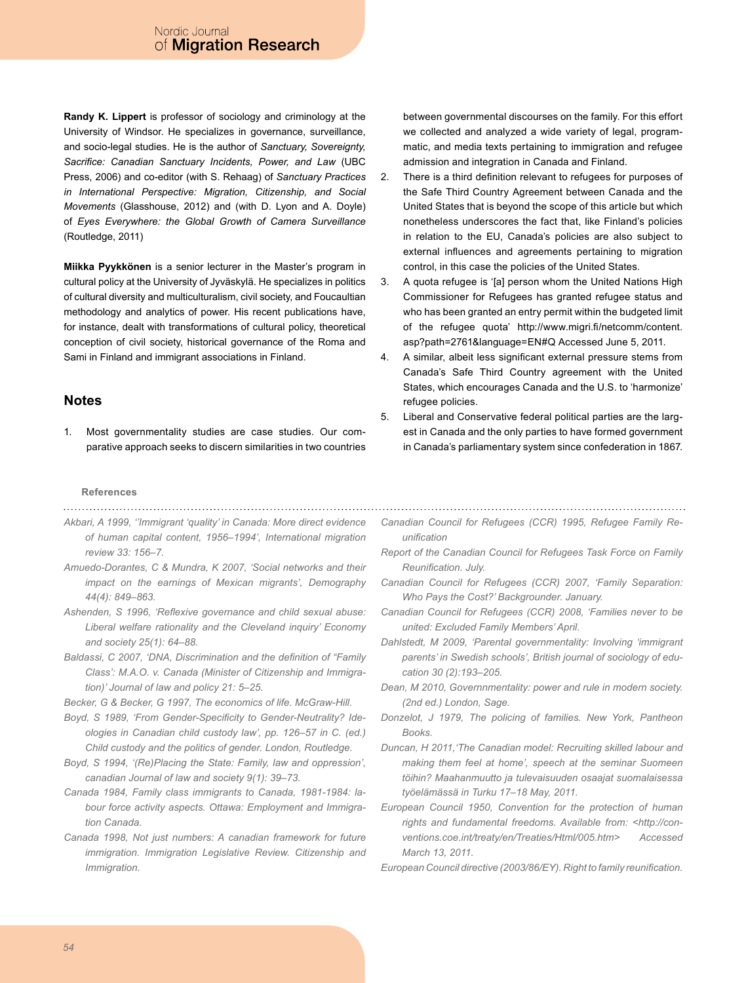**Randy K. Lippert** is professor of sociology and criminology at the University of Windsor. He specializes in governance, surveillance, and socio-legal studies. He is the author of *Sanctuary, Sovereignty, Sacrifice: Canadian Sanctuary Incidents, Power, and Law* (UBC Press, 2006) and co-editor (with S. Rehaag) of *Sanctuary Practices in International Perspective: Migration, Citizenship, and Social Movements* (Glasshouse, 2012) and (with D. Lyon and A. Doyle) of *Eyes Everywhere: the Global Growth of Camera Surveillance* (Routledge, 2011)

**Miikka Pyykkönen** is a senior lecturer in the Master's program in cultural policy at the University of Jyväskylä. He specializes in politics of cultural diversity and multiculturalism, civil society, and Foucaultian methodology and analytics of power. His recent publications have, for instance, dealt with transformations of cultural policy, theoretical conception of civil society, historical governance of the Roma and Sami in Finland and immigrant associations in Finland.

# **Notes**

<span id="page-9-7"></span>1. Most governmentality studies are case studies. Our comparative approach seeks to discern similarities in two countries

### between governmental discourses on the family. For this effort we collected and analyzed a wide variety of legal, programmatic, and media texts pertaining to immigration and refugee admission and integration in Canada and Finland.

- <span id="page-9-8"></span>2. There is a third definition relevant to refugees for purposes of the Safe Third Country Agreement between Canada and the United States that is beyond the scope of this article but which nonetheless underscores the fact that, like Finland's policies in relation to the EU, Canada's policies are also subject to external influences and agreements pertaining to migration control, in this case the policies of the United States.
- <span id="page-9-9"></span>3. A quota refugee is '[a] person whom the United Nations High Commissioner for Refugees has granted refugee status and who has been granted an entry permit within the budgeted limit of the refugee quota' http://www.migri.fi/netcomm/content. asp?path=2761&language=EN#Q Accessed June 5, 2011.
- <span id="page-9-11"></span>4. A similar, albeit less significant external pressure stems from Canada's Safe Third Country agreement with the United States, which encourages Canada and the U.S. to 'harmonize' refugee policies.
- <span id="page-9-20"></span>5. Liberal and Conservative federal political parties are the largest in Canada and the only parties to have formed government in Canada's parliamentary system since confederation in 1867.

#### **References**

- <span id="page-9-14"></span>*Akbari, A 1999, ''Immigrant 'quality' in Canada: More direct evidence of human capital content, 1956–1994', International migration review 33: 156–7.*
- <span id="page-9-3"></span>*Amuedo-Dorantes, C & Mundra, K 2007, 'Social networks and their impact on the earnings of Mexican migrants', Demography 44(4): 849–863.*
- <span id="page-9-1"></span>*Ashenden, S 1996, 'Reflexive governance and child sexual abuse: Liberal welfare rationality and the Cleveland inquiry' Economy and society 25(1): 64–88.*
- <span id="page-9-22"></span>*Baldassi, C 2007, 'DNA, Discrimination and the definition of "Family Class': M.A.O. v. Canada (Minister of Citizenship and Immigration)' Journal of law and policy 21: 5–25.*
- <span id="page-9-13"></span>*Becker, G & Becker, G 1997, The economics of life. McGraw-Hill.*
- <span id="page-9-5"></span>*Boyd, S 1989, 'From Gender-Specificity to Gender-Neutrality? Ideologies in Canadian child custody law', pp. 126–57 in C. (ed.) Child custody and the politics of gender. London, Routledge.*
- <span id="page-9-6"></span>*Boyd, S 1994, '(Re)Placing the State: Family, law and oppression', canadian Journal of law and society 9(1): 39–73.*
- <span id="page-9-12"></span>*Canada 1984, Family class immigrants to Canada, 1981-1984: labour force activity aspects. Ottawa: Employment and Immigration Canada.*
- <span id="page-9-16"></span>*Canada 1998, Not just numbers: A canadian framework for future immigration. Immigration Legislative Review. Citizenship and Immigration.*
- <span id="page-9-15"></span>*Canadian Council for Refugees (CCR) 1995, Refugee Family Reunification*
- *Report of the Canadian Council for Refugees Task Force on Family Reunification. July.*
- <span id="page-9-21"></span>*Canadian Council for Refugees (CCR) 2007, 'Family Separation: Who Pays the Cost?' Backgrounder. January.*
- <span id="page-9-19"></span>*Canadian Council for Refugees (CCR) 2008, 'Families never to be united: Excluded Family Members' April.*
- <span id="page-9-4"></span>*Dahlstedt, M 2009, 'Parental governmentality: Involving 'immigrant parents' in Swedish schools', British journal of sociology of education 30 (2):193–205.*
- <span id="page-9-0"></span>*Dean, M 2010, Governnmentality: power and rule in modern society. (2nd ed.) London, Sage.*
- <span id="page-9-2"></span>*Donzelot, J 1979, The policing of families. New York, Pantheon Books.*
- <span id="page-9-17"></span>*Duncan, H 2011,'The Canadian model: Recruiting skilled labour and making them feel at home', speech at the seminar Suomeen töihin? Maahanmuutto ja tulevaisuuden osaajat suomalaisessa työelämässä in Turku 17–18 May, 2011.*
- <span id="page-9-18"></span>*European Council 1950, Convention for the protection of human rights and fundamental freedoms. Available from: <[http://con](http://conventions.coe.int/treaty/en/Treaties/Html/005.htm)[ventions.coe.int/treaty/en/Treaties/Html/005.htm](http://conventions.coe.int/treaty/en/Treaties/Html/005.htm)> Accessed March 13, 2011.*
- <span id="page-9-10"></span>*European Council directive (2003/86/EY). Right to family reunification.*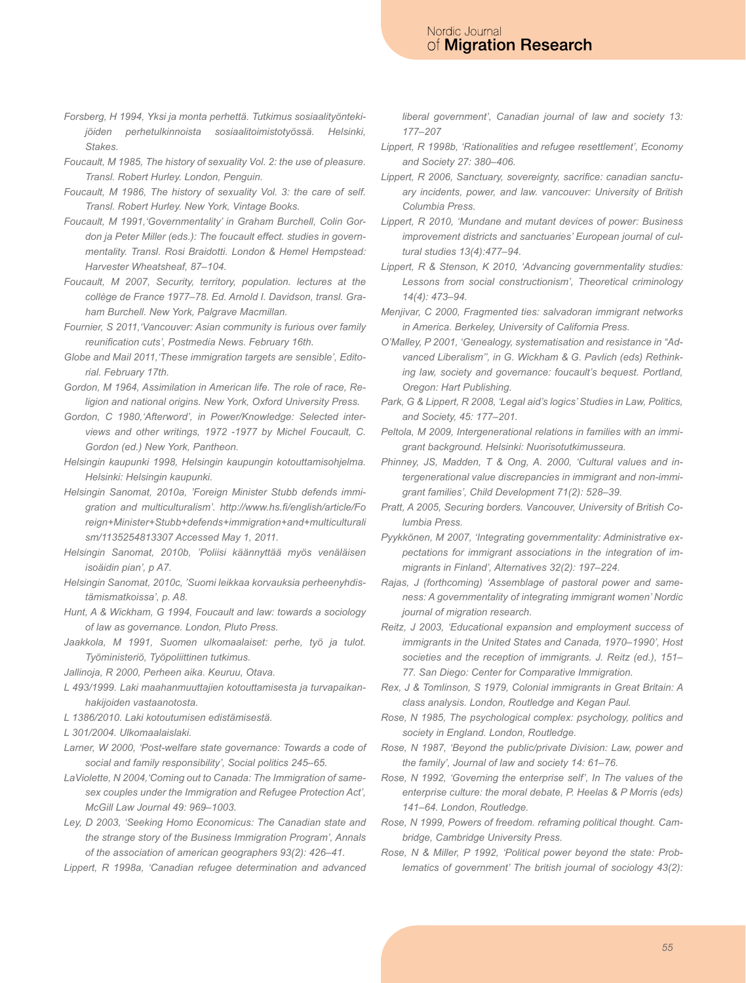- <span id="page-10-29"></span>*Forsberg, H 1994, Yksi ja monta perhettä. Tutkimus sosiaalityöntekijöiden perhetulkinnoista sosiaalitoimistotyössä. Helsinki, Stakes.*
- <span id="page-10-7"></span>*Foucault, M 1985, The history of sexuality Vol. 2: the use of pleasure. Transl. Robert Hurley. London, Penguin.*
- <span id="page-10-8"></span>*Foucault, M 1986, The history of sexuality Vol. 3: the care of self. Transl. Robert Hurley. New York, Vintage Books.*
- <span id="page-10-2"></span>*Foucault, M 1991,'Governmentality' in Graham Burchell, Colin Gordon ja Peter Miller (eds.): The foucault effect. studies in governmentality. Transl. Rosi Braidotti. London & Hemel Hempstead: Harvester Wheatsheaf, 87–104.*
- <span id="page-10-1"></span>*Foucault, M 2007, Security, territory, population. lectures at the collège de France 1977–78. Ed. Arnold I. Davidson, transl. Graham Burchell. New York, Palgrave Macmillan.*
- *Fournier, S 2011,'Vancouver: Asian community is furious over family reunification cuts', Postmedia News. February 16th.*
- *Globe and Mail 2011,'These immigration targets are sensible', Editorial. February 17th.*
- <span id="page-10-15"></span>*Gordon, M 1964, Assimilation in American life. The role of race, Religion and national origins. New York, Oxford University Press.*
- <span id="page-10-6"></span>*Gordon, C 1980,'Afterword', in Power/Knowledge: Selected interviews and other writings, 1972 -1977 by Michel Foucault, C. Gordon (ed.) New York, Pantheon.*
- *Helsingin kaupunki 1998, Helsingin kaupungin kotouttamisohjelma. Helsinki: Helsingin kaupunki.*
- <span id="page-10-22"></span>*Helsingin Sanomat, 2010a, 'Foreign Minister Stubb defends immigration and multiculturalism'. [http://www.hs.fi/english/article/Fo](http://www.hs.fi/english/article/Foreign+Minister+Stubb+defends+immigration+and+multiculturalism/1135254813307  Accessed May 1) [reign+Minister+Stubb+defends+immigration+and+multiculturali](http://www.hs.fi/english/article/Foreign+Minister+Stubb+defends+immigration+and+multiculturalism/1135254813307  Accessed May 1) [sm/1135254813307 Accessed May 1,](http://www.hs.fi/english/article/Foreign+Minister+Stubb+defends+immigration+and+multiculturalism/1135254813307  Accessed May 1) 2011.*
- <span id="page-10-23"></span>*Helsingin Sanomat, 2010b, 'Poliisi käännyttää myös venäläisen isoäidin pian', p A7.*
- <span id="page-10-25"></span>*Helsingin Sanomat, 2010c, 'Suomi leikkaa korvauksia perheenyhdistämismatkoissa', p. A8.*
- <span id="page-10-5"></span>*Hunt, A & Wickham, G 1994, Foucault and law: towards a sociology of law as governance. London, Pluto Press.*
- <span id="page-10-16"></span>*Jaakkola, M 1991, Suomen ulkomaalaiset: perhe, työ ja tulot. Työministeriö, Työpoliittinen tutkimus.*
- <span id="page-10-30"></span>*Jallinoja, R 2000, Perheen aika. Keuruu, Otava.*
- *L 493/1999. Laki maahanmuuttajien kotouttamisesta ja turvapaikanhakijoiden vastaanotosta.*
- <span id="page-10-24"></span>*L 1386/2010. Laki kotoutumisen edistämisestä.*
- <span id="page-10-21"></span>*L 301/2004. Ulkomaalaislaki.*
- <span id="page-10-12"></span>Larner, W 2000, 'Post-welfare state governance: Towards a code of *social and family responsibility', Social politics 245–65.*
- <span id="page-10-31"></span>*LaViolette, N 2004,'Coming out to Canada: The Immigration of samesex couples under the Immigration and Refugee Protection Act', McGill Law Journal 49: 969–1003.*
- <span id="page-10-26"></span>*Ley, D 2003, 'Seeking Homo Economicus: The Canadian state and the strange story of the Business Immigration Program', Annals of the association of american geographers 93(2): 426–41.*
- <span id="page-10-28"></span>*Lippert, R 1998a, 'Canadian refugee determination and advanced*

*liberal government', Canadian journal of law and society 13: 177–207*

- *Lippert, R 1998b, 'Rationalities and refugee resettlement', Economy and Society 27: 380–406.*
- <span id="page-10-9"></span>*Lippert, R 2006, Sanctuary, sovereignty, sacrifice: canadian sanctuary incidents, power, and law. vancouver: University of British Columbia Press.*
- <span id="page-10-3"></span>*Lippert, R 2010, 'Mundane and mutant devices of power: Business improvement districts and sanctuaries' European journal of cultural studies 13(4):477–94.*
- *Lippert, R & Stenson, K 2010, 'Advancing governmentality studies: Lessons from social constructionism', Theoretical criminology 14(4): 473–94.*
- <span id="page-10-18"></span>*Menjivar, C 2000, Fragmented ties: salvadoran immigrant networks in America. Berkeley, University of California Press.*
- *O'Malley, P 2001, 'Genealogy, systematisation and resistance in "Advanced Liberalism'', in G. Wickham & G. Pavlich (eds) Rethinking law, society and governance: foucault's bequest. Portland, Oregon: Hart Publishing.*
- <span id="page-10-11"></span>*Park, G & Lippert, R 2008, 'Legal aid's logics' Studies in Law, Politics, and Society, 45: 177–201.*
- <span id="page-10-19"></span>*Peltola, M 2009, Intergenerational relations in families with an immigrant background. Helsinki: Nuorisotutkimusseura.*
- <span id="page-10-20"></span>*Phinney, JS, Madden, T & Ong, A. 2000, 'Cultural values and intergenerational value discrepancies in immigrant and non-immigrant families', Child Development 71(2): 528–39.*
- <span id="page-10-10"></span>*Pratt, A 2005, Securing borders. Vancouver, University of British Columbia Press.*
- *Pyykkönen, M 2007, 'Integrating governmentality: Administrative expectations for immigrant associations in the integration of immigrants in Finland', Alternatives 32(2): 197–224.*
- *Rajas, J (forthcoming) 'Assemblage of pastoral power and sameness: A governmentality of integrating immigrant women' Nordic journal of migration research.*
- <span id="page-10-27"></span>*Reitz, J 2003, 'Educational expansion and employment success of immigrants in the United States and Canada, 1970–1990', Host societies and the reception of immigrants. J. Reitz (ed.), 151– 77. San Diego: Center for Comparative Immigration.*
- <span id="page-10-17"></span>*Rex, J & Tomlinson, S 1979, Colonial immigrants in Great Britain: A class analysis. London, Routledge and Kegan Paul.*
- <span id="page-10-13"></span>*Rose, N 1985, The psychological complex: psychology, politics and society in England. London, Routledge.*
- <span id="page-10-14"></span>*Rose, N 1987, 'Beyond the public/private Division: Law, power and the family', Journal of law and society 14: 61–76.*
- <span id="page-10-0"></span>*Rose, N 1992, 'Governing the enterprise self', In The values of the enterprise culture: the moral debate, P. Heelas & P Morris (eds) 141–64. London, Routledge.*
- <span id="page-10-4"></span>*Rose, N 1999, Powers of freedom. reframing political thought. Cambridge, Cambridge University Press.*
- *Rose, N & Miller, P 1992, 'Political power beyond the state: Problematics of government' The british journal of sociology 43(2):*